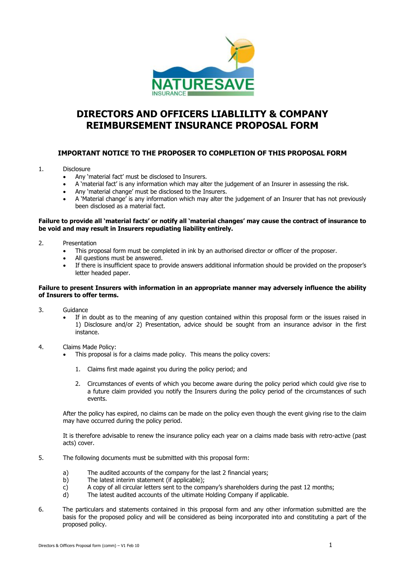

## **DIRECTORS AND OFFICERS LIABLILITY & COMPANY REIMBURSEMENT INSURANCE PROPOSAL FORM**

## **IMPORTANT NOTICE TO THE PROPOSER TO COMPLETION OF THIS PROPOSAL FORM**

### 1. Disclosure

- Any 'material fact' must be disclosed to Insurers.
- A 'material fact' is any information which may alter the judgement of an Insurer in assessing the risk.
- Any 'material change' must be disclosed to the Insurers.
- A 'Material change' is any information which may alter the judgement of an Insurer that has not previously been disclosed as a material fact.

#### **Failure to provide all 'material facts' or notify all 'material changes' may cause the contract of insurance to be void and may result in Insurers repudiating liability entirely.**

- 2. Presentation
	- This proposal form must be completed in ink by an authorised director or officer of the proposer.
	- All questions must be answered.
	- If there is insufficient space to provide answers additional information should be provided on the proposer's letter headed paper.

### **Failure to present Insurers with information in an appropriate manner may adversely influence the ability of Insurers to offer terms.**

- 3. Guidance
	- If in doubt as to the meaning of any question contained within this proposal form or the issues raised in 1) Disclosure and/or 2) Presentation, advice should be sought from an insurance advisor in the first instance.
- 4. Claims Made Policy:
	- This proposal is for a claims made policy. This means the policy covers:
		- 1. Claims first made against you during the policy period; and
		- 2. Circumstances of events of which you become aware during the policy period which could give rise to a future claim provided you notify the Insurers during the policy period of the circumstances of such events.

After the policy has expired, no claims can be made on the policy even though the event giving rise to the claim may have occurred during the policy period.

It is therefore advisable to renew the insurance policy each year on a claims made basis with retro-active (past acts) cover.

- 5. The following documents must be submitted with this proposal form:
	- a) The audited accounts of the company for the last 2 financial years;
	- b) The latest interim statement (if applicable);
	- c) A copy of all circular letters sent to the company's shareholders during the past 12 months;
	- d) The latest audited accounts of the ultimate Holding Company if applicable.
- 6. The particulars and statements contained in this proposal form and any other information submitted are the basis for the proposed policy and will be considered as being incorporated into and constituting a part of the proposed policy.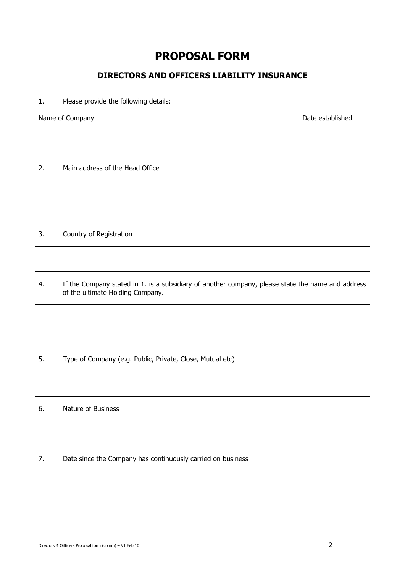# **PROPOSAL FORM**

## **DIRECTORS AND OFFICERS LIABILITY INSURANCE**

## 1. Please provide the following details:

| Name of Company | Date established |
|-----------------|------------------|
|                 |                  |
|                 |                  |
|                 |                  |
|                 |                  |

2. Main address of the Head Office

3. Country of Registration

4. If the Company stated in 1. is a subsidiary of another company, please state the name and address of the ultimate Holding Company.

5. Type of Company (e.g. Public, Private, Close, Mutual etc)

6. Nature of Business

7. Date since the Company has continuously carried on business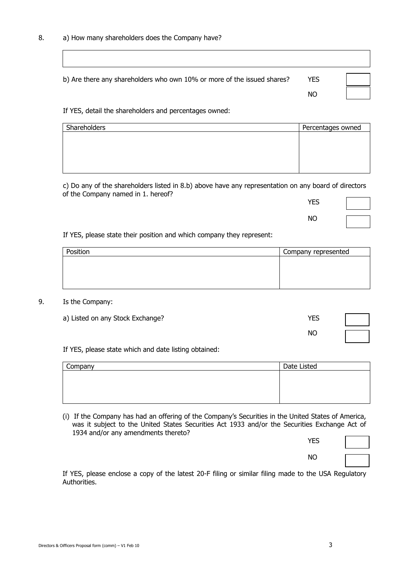| b) Are there any shareholders who own 10% or more of the issued shares? | <b>YES</b> |  |
|-------------------------------------------------------------------------|------------|--|
|                                                                         | NO         |  |

If YES, detail the shareholders and percentages owned:

| Percentages owned |
|-------------------|
|                   |
|                   |
|                   |
|                   |
|                   |

c) Do any of the shareholders listed in 8.b) above have any representation on any board of directors of the Company named in 1. hereof?

| <b>YES</b> |  |
|------------|--|
| ΝO         |  |

If YES, please state their position and which company they represent:

| Position | Company represented |
|----------|---------------------|
|          |                     |
|          |                     |
|          |                     |
|          |                     |

## 9. Is the Company:

| a) Listed on any Stock Exchange? | <b>YES</b> |  |
|----------------------------------|------------|--|
|                                  | NO         |  |

If YES, please state which and date listing obtained:

| Company | Date Listed |
|---------|-------------|
|         |             |
|         |             |
|         |             |
|         |             |

(i) If the Company has had an offering of the Company's Securities in the United States of America, was it subject to the United States Securities Act 1933 and/or the Securities Exchange Act of 1934 and/or any amendments thereto?

| YES       |  |
|-----------|--|
| <b>NO</b> |  |

If YES, please enclose a copy of the latest 20-F filing or similar filing made to the USA Regulatory **Authorities**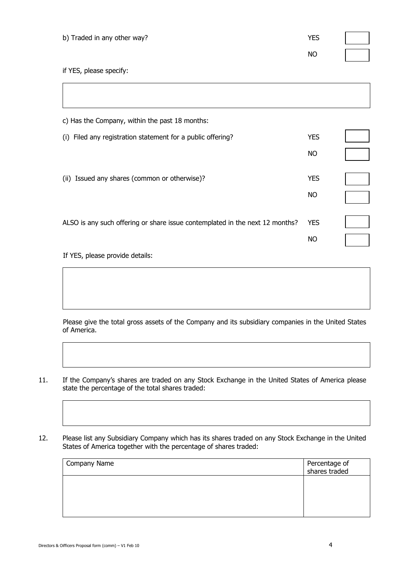| b) Traded in any other way?                                                  | <b>YES</b> |  |
|------------------------------------------------------------------------------|------------|--|
|                                                                              | <b>NO</b>  |  |
| if YES, please specify:                                                      |            |  |
|                                                                              |            |  |
| c) Has the Company, within the past 18 months:                               |            |  |
| (i) Filed any registration statement for a public offering?                  | <b>YES</b> |  |
|                                                                              | <b>NO</b>  |  |
| (ii) Issued any shares (common or otherwise)?                                | <b>YES</b> |  |
|                                                                              | <b>NO</b>  |  |
| ALSO is any such offering or share issue contemplated in the next 12 months? | <b>YES</b> |  |

If YES, please provide details:

Please give the total gross assets of the Company and its subsidiary companies in the United States of America.

- 11. If the Company's shares are traded on any Stock Exchange in the United States of America please state the percentage of the total shares traded:
- 12. Please list any Subsidiary Company which has its shares traded on any Stock Exchange in the United States of America together with the percentage of shares traded:

| Company Name | Percentage of<br>shares traded |
|--------------|--------------------------------|
|              |                                |
|              |                                |
|              |                                |

NO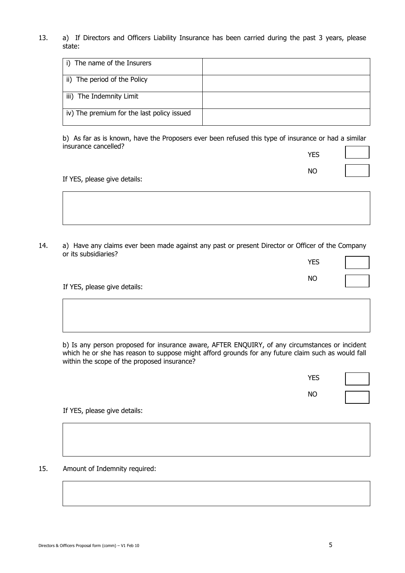13. a) If Directors and Officers Liability Insurance has been carried during the past 3 years, please state:

| i) The name of the Insurers                |  |
|--------------------------------------------|--|
| ii) The period of the Policy               |  |
| iii) The Indemnity Limit                   |  |
| iv) The premium for the last policy issued |  |

b) As far as is known, have the Proposers ever been refused this type of insurance or had a similar insurance cancelled? Ē,

| <b>YES</b> |  |
|------------|--|
| <b>NO</b>  |  |

If YES, please give details:

14. a) Have any claims ever been made against any past or present Director or Officer of the Company or its subsidiaries?  $\overline{\phantom{0}}$ 

|                              | <b>YES</b> |  |
|------------------------------|------------|--|
|                              | ΝO         |  |
| If YES, please give details: |            |  |

b) Is any person proposed for insurance aware, AFTER ENQUIRY, of any circumstances or incident which he or she has reason to suppose might afford grounds for any future claim such as would fall within the scope of the proposed insurance?

YES

NO

If YES, please give details:

15. Amount of Indemnity required: